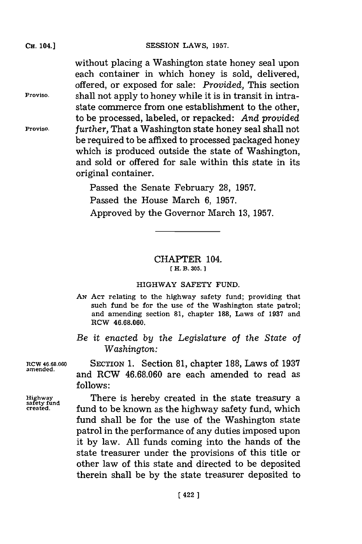without placing a Washington state honey seal upon each container in which honey is sold, delivered, offered, or exposed for sale: *Provided,* This section **Proviso.** shall not apply to honey while it is in transit in intrastate commerce from one establishment to the other, to be processed, labeled, or repacked: *And provided* **Proviso,** *further,* That a Washington state honey seal shall not be required to be affixed to processed packaged honey which is produced outside the state of Washington, and sold or offered for sale within this state in its original container.

> Passed the Senate February **28, 1957.** Passed the House March **6, 1957.** Approved **by** the Governor March **13, 1957.**

## CHAPTER 104. **[ H. B. 305.]1**

## HIGHWAY SAFETY **FUND.**

- **AN ACT** relating to the highway safety fund; providing that such fund be for the use of the Washington state patrol; and amending section **81,** chapter **188,** Laws of **1937** and RCW **46.68.060.**
- *Be it enacted by the Legislature of the State of Washington:*

Rcw **46.68.060** SECTION **1.** Section **81,** chapter **188,** Laws of **1937** and RCW 46.68.060 are each amended to read as **follows:**

> There is hereby created in the state treasury a fund to be known as the highway safety fund, which fund shall be for the use of the Washington state patrol in the performance of any duties imposed upon it **by** law. **All** funds coming into the hands of the state treasurer under the provisions of this title or other law of this state and directed to be deposited therein shall be **by** the state treasurer deposited to

**safety fund**

**CH.** 104.]